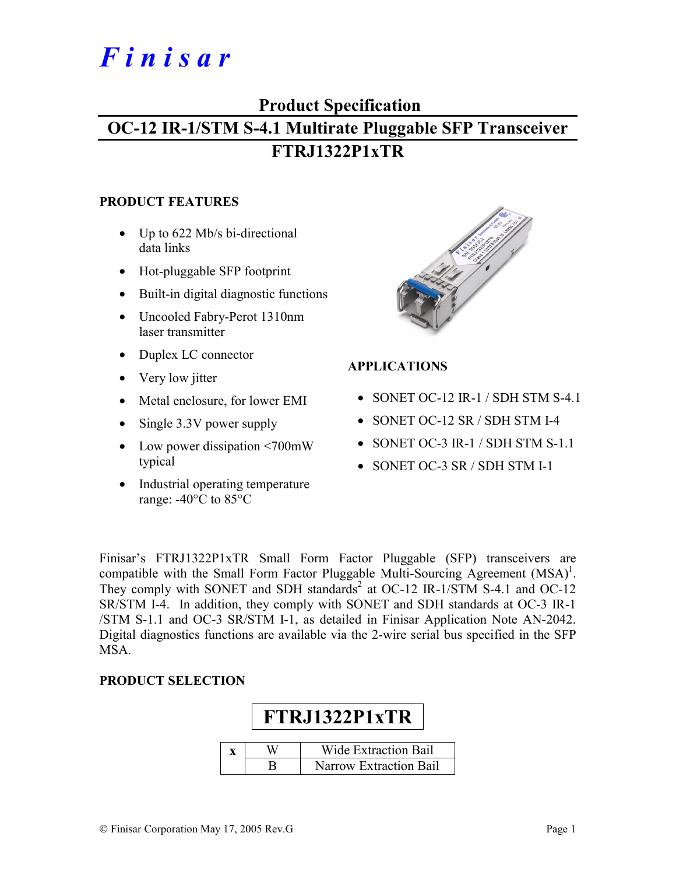# *F i n i s a r*

# **Product Specification OC-12 IR-1/STM S-4.1 Multirate Pluggable SFP Transceiver**

# **FTRJ1322P1xTR**

#### **PRODUCT FEATURES**

- Up to 622 Mb/s bi-directional data links
- Hot-pluggable SFP footprint
- Built-in digital diagnostic functions
- Uncooled Fabry-Perot 1310nm laser transmitter
- Duplex LC connector
- Very low jitter
- Metal enclosure, for lower EMI
- Single 3.3V power supply
- Low power dissipation <700mW typical
- Industrial operating temperature range: -40°C to 85°C



# **APPLICATIONS**

- SONET OC-12 IR-1 / SDH STM S-4.1
- SONET OC-12 SR / SDH STM I-4
- SONET OC-3 IR-1 / SDH STM S-1.1
- SONET OC-3 SR / SDH STM I-1

Finisar's FTRJ1322P1xTR Small Form Factor Pluggable (SFP) transceivers are compatible with the Small Form Factor Pluggable Multi-Sourcing Agreement  $(MSA)^1$ . They comply with SONET and SDH standards<sup>2</sup> at OC-12 IR-1/STM S-4.1 and OC-12 SR/STM I-4. In addition, they comply with SONET and SDH standards at OC-3 IR-1 /STM S-1.1 and OC-3 SR/STM I-1, as detailed in Finisar Application Note AN-2042. Digital diagnostics functions are available via the 2-wire serial bus specified in the SFP MSA.

## **PRODUCT SELECTION**

| FTRJ1322P1xTR |                               |  |  |  |  |  |
|---------------|-------------------------------|--|--|--|--|--|
|               | <b>Wide Extraction Bail</b>   |  |  |  |  |  |
|               | <b>Narrow Extraction Bail</b> |  |  |  |  |  |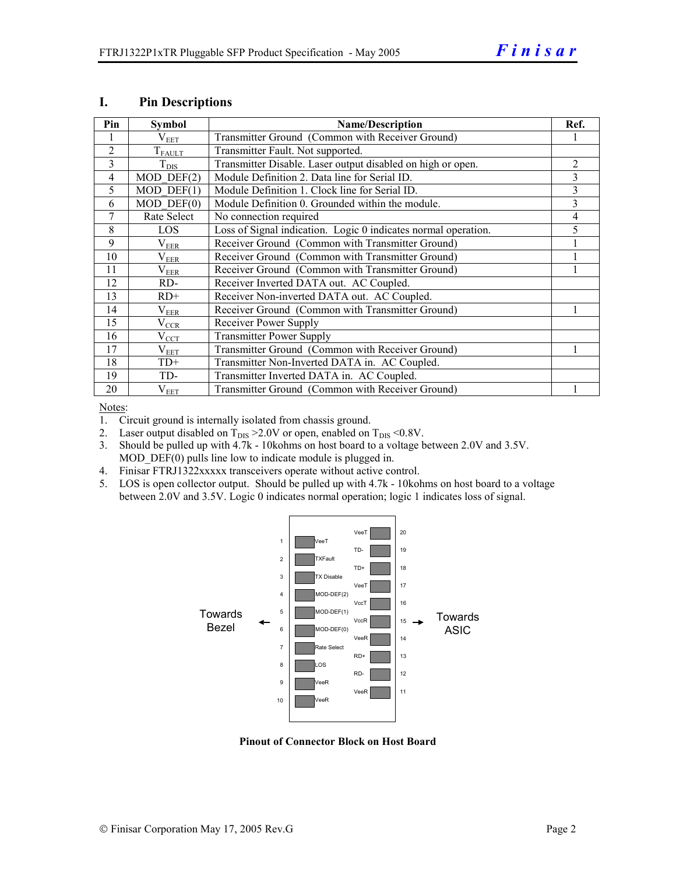| Pin            | <b>Symbol</b>   | <b>Name/Description</b>                                        | Ref.           |
|----------------|-----------------|----------------------------------------------------------------|----------------|
|                | $\rm V_{EET}$   | Transmitter Ground (Common with Receiver Ground)               |                |
| $\overline{2}$ | $T_{\rm FAULT}$ | Transmitter Fault. Not supported.                              |                |
| 3              | $T_{\rm DIS}$   | Transmitter Disable. Laser output disabled on high or open.    | $\overline{c}$ |
| $\overline{4}$ | $MOD$ DEF $(2)$ | Module Definition 2. Data line for Serial ID.                  | 3              |
| 5              | $MOD$ DEF $(1)$ | Module Definition 1. Clock line for Serial ID.                 | 3              |
| 6              | $MOD$ $DEF(0)$  | Module Definition 0. Grounded within the module.               | 3              |
| 7              | Rate Select     | No connection required                                         | 4              |
| 8              | LOS             | Loss of Signal indication. Logic 0 indicates normal operation. | 5              |
| 9              | $\rm V_{EER}$   | Receiver Ground (Common with Transmitter Ground)               |                |
| 10             | $\rm V_{EER}$   | Receiver Ground (Common with Transmitter Ground)               |                |
| 11             | $\rm V_{EER}$   | Receiver Ground (Common with Transmitter Ground)               |                |
| 12             | RD-             | Receiver Inverted DATA out. AC Coupled.                        |                |
| 13             | $RD+$           | Receiver Non-inverted DATA out. AC Coupled.                    |                |
| 14             | $\rm V_{EER}$   | Receiver Ground (Common with Transmitter Ground)               |                |
| 15             | $V_{CCR}$       | Receiver Power Supply                                          |                |
| 16             | $V_{CCL}$       | <b>Transmitter Power Supply</b>                                |                |
| 17             | $V_{EET}$       | Transmitter Ground (Common with Receiver Ground)               |                |
| 18             | $TD+$           | Transmitter Non-Inverted DATA in. AC Coupled.                  |                |
| 19             | TD-             | Transmitter Inverted DATA in. AC Coupled.                      |                |
| 20             | $V_{EET}$       | Transmitter Ground (Common with Receiver Ground)               |                |

#### **I. Pin Descriptions**

Notes:

- 1. Circuit ground is internally isolated from chassis ground.
- 2. Laser output disabled on  $T_{DIS} > 2.0V$  or open, enabled on  $T_{DIS} < 0.8V$ .
- 3. Should be pulled up with 4.7k 10kohms on host board to a voltage between 2.0V and 3.5V. MOD  $DEF(0)$  pulls line low to indicate module is plugged in.
- 4. Finisar FTRJ1322xxxxx transceivers operate without active control.
- 5. LOS is open collector output. Should be pulled up with 4.7k 10kohms on host board to a voltage between 2.0V and 3.5V. Logic 0 indicates normal operation; logic 1 indicates loss of signal.



**Pinout of Connector Block on Host Board**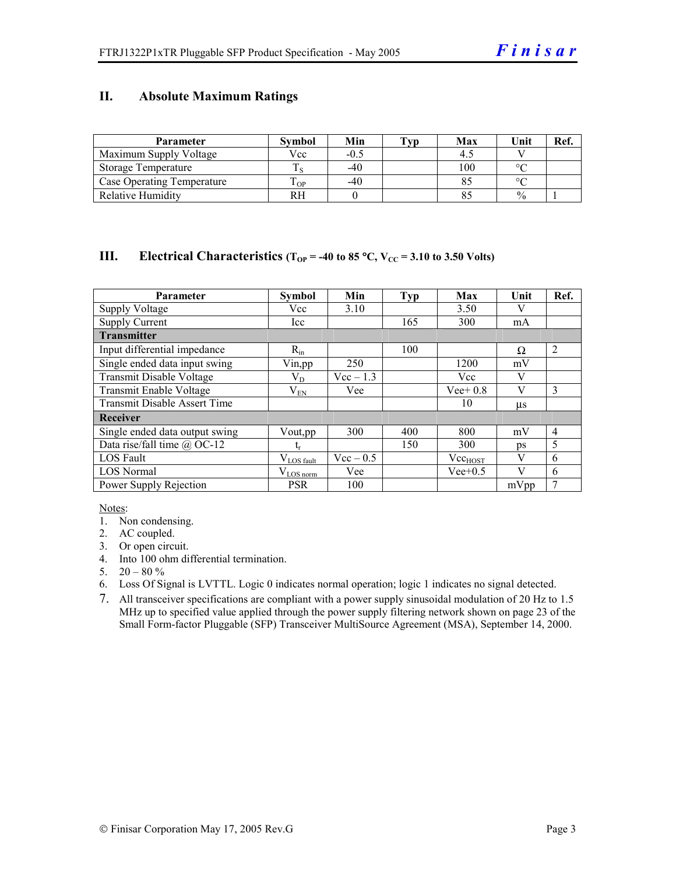### **II. Absolute Maximum Ratings**

| <b>Parameter</b>                  | <b>Symbol</b> | Min    | Tvp | Max | Unit          | Ref. |
|-----------------------------------|---------------|--------|-----|-----|---------------|------|
| Maximum Supply Voltage            | Vcc           | $-0.5$ |     |     |               |      |
| Storage Temperature               |               | $-40$  |     | 100 | $\circ$       |      |
| <b>Case Operating Temperature</b> | m<br>OP.      | $-40$  |     |     | $\sim$        |      |
| <b>Relative Humidity</b>          | RH            |        |     |     | $\frac{0}{0}$ |      |

#### **III.** Electrical Characteristics ( $T_{OP}$  = -40 to 85 °C,  $V_{CC}$  = 3.10 to 3.50 Volts)

| <b>Parameter</b>                    | <b>Symbol</b>          | Min         | <b>Typ</b> | Max          | Unit    | Ref.           |
|-------------------------------------|------------------------|-------------|------------|--------------|---------|----------------|
| <b>Supply Voltage</b>               | Vcc                    | 3.10        |            | 3.50         | V       |                |
| <b>Supply Current</b>               | Icc                    |             | 165        | 300          | mA      |                |
| <b>Transmitter</b>                  |                        |             |            |              |         |                |
| Input differential impedance        | $R_{in}$               |             | 100        |              | Ω       | $\overline{2}$ |
| Single ended data input swing       | Vin, pp                | 250         |            | 1200         | mV      |                |
| Transmit Disable Voltage            | $\rm V_{D}$            | $Vec-1.3$   |            | Vcc          | V       |                |
| Transmit Enable Voltage             | $\rm V_{EN}$           | Vee         |            | $Vee+0.8$    | V       | 3              |
| <b>Transmit Disable Assert Time</b> |                        |             |            | 10           | $\mu$ s |                |
| Receiver                            |                        |             |            |              |         |                |
| Single ended data output swing      | Vout, pp.              | 300         | 400        | 800          | mV      | $\overline{4}$ |
| Data rise/fall time $\omega$ OC-12  | t,                     |             | 150        | 300          | ps      | 5              |
| <b>LOS</b> Fault                    | $V_{\text{LOS}}$ fault | $Vec - 0.5$ |            | $Vec_{HOST}$ | V       | 6              |
| <b>LOS Normal</b>                   | $V_{LOS\,norm}$        | Vee         |            | $Vee+0.5$    | V       | 6              |
| Power Supply Rejection              | <b>PSR</b>             | 100         |            |              | mVpp    | 7              |

Notes:

- 1. Non condensing.
- 2. AC coupled.
- 3. Or open circuit.
- 4. Into 100 ohm differential termination.
- 5.  $20 80 \%$
- 6. Loss Of Signal is LVTTL. Logic 0 indicates normal operation; logic 1 indicates no signal detected.
- 7. All transceiver specifications are compliant with a power supply sinusoidal modulation of 20 Hz to 1.5 MHz up to specified value applied through the power supply filtering network shown on page 23 of the Small Form-factor Pluggable (SFP) Transceiver MultiSource Agreement (MSA), September 14, 2000.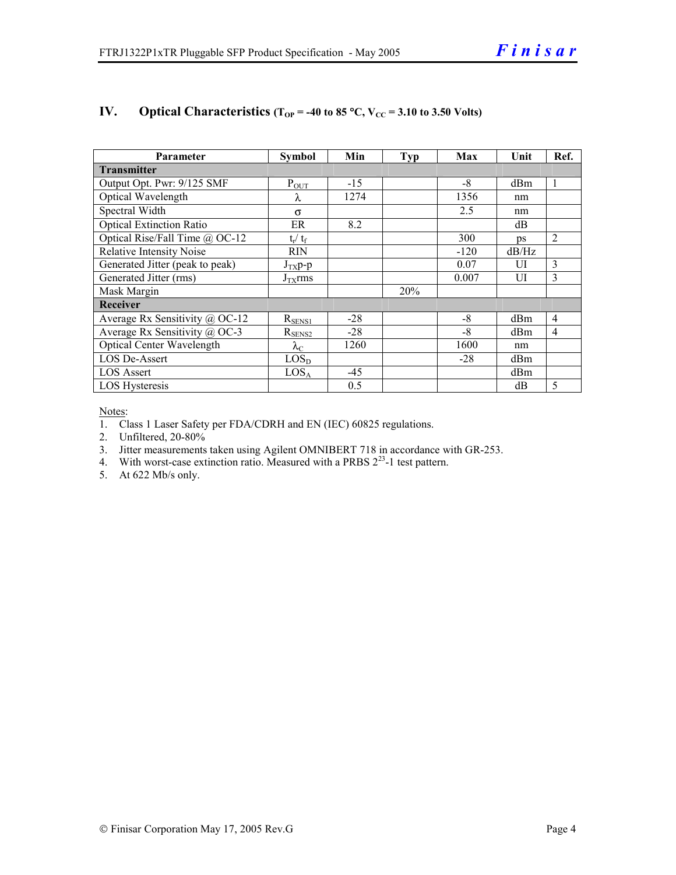| <b>Parameter</b>                 | Symbol                  | Min   | <b>Typ</b> | Max    | Unit            | Ref.           |
|----------------------------------|-------------------------|-------|------------|--------|-----------------|----------------|
| <b>Transmitter</b>               |                         |       |            |        |                 |                |
| Output Opt. Pwr: 9/125 SMF       | $P_{OUT}$               | $-15$ |            | -8     | dBm             | 1              |
| Optical Wavelength               | λ                       | 1274  |            | 1356   | nm              |                |
| Spectral Width                   | $\sigma$                |       |            | 2.5    | nm              |                |
| <b>Optical Extinction Ratio</b>  | ER                      | 8.2   |            |        | dB              |                |
| Optical Rise/Fall Time $@$ OC-12 | $t_{\rm r} / t_{\rm f}$ |       |            | 300    | $\n  DS\n$      | $\overline{2}$ |
| <b>Relative Intensity Noise</b>  | <b>RIN</b>              |       |            | $-120$ | dB/Hz           |                |
| Generated Jitter (peak to peak)  | $J_{TX}p-p$             |       |            | 0.07   | UI              | 3              |
| Generated Jitter (rms)           | $J_{TX}$ rms            |       |            | 0.007  | UI              | 3              |
| Mask Margin                      |                         |       | 20%        |        |                 |                |
| Receiver                         |                         |       |            |        |                 |                |
| Average Rx Sensitivity @ OC-12   | $R_{SENS1}$             | $-28$ |            | $-8$   | dBm             | $\overline{4}$ |
| Average Rx Sensitivity @ OC-3    | $R_{\rm SENS2}$         | $-28$ |            | -8     | d <sub>Bm</sub> | $\overline{4}$ |
| <b>Optical Center Wavelength</b> | $\lambda_{\rm C}$       | 1260  |            | 1600   | nm              |                |
| <b>LOS De-Assert</b>             | LOS <sub>D</sub>        |       |            | $-28$  | d <sub>Bm</sub> |                |
| <b>LOS Assert</b>                | LOS <sub>A</sub>        | $-45$ |            |        | d <sub>Bm</sub> |                |
| LOS Hysteresis                   |                         | 0.5   |            |        | dB              | 5              |

## **IV.** Optical Characteristics ( $T_{OP}$  = -40 to 85 °C,  $V_{CC}$  = 3.10 to 3.50 Volts)

Notes:

1. Class 1 Laser Safety per FDA/CDRH and EN (IEC) 60825 regulations.

2. Unfiltered, 20-80%

3. Jitter measurements taken using Agilent OMNIBERT 718 in accordance with GR-253.

4. With worst-case extinction ratio. Measured with a PRBS  $2^{23}$ -1 test pattern.

5. At 622 Mb/s only.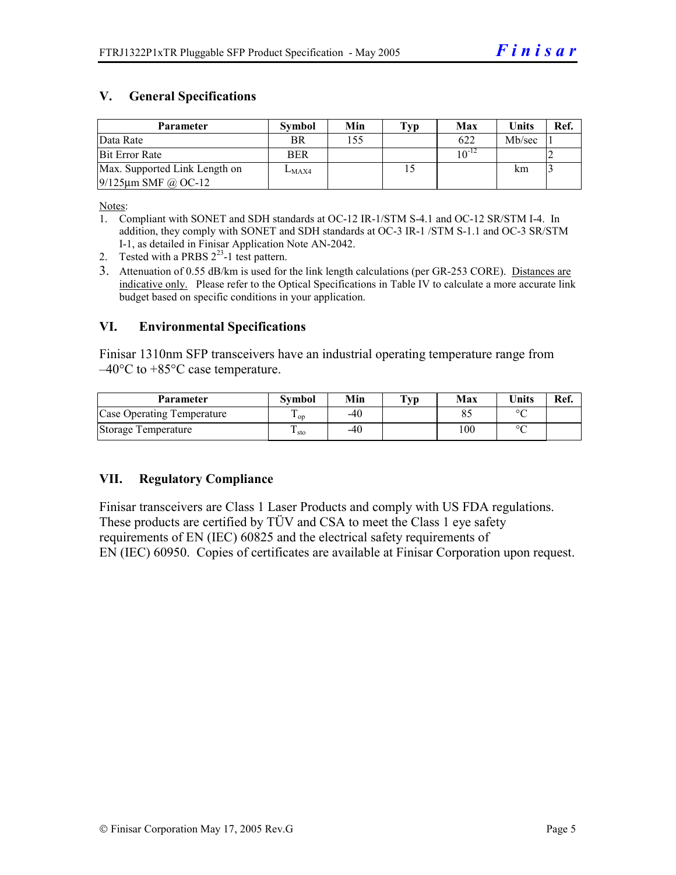# **V. General Specifications**

| Parameter                                                  | <b>Symbol</b> | Min | Typ | Max        | Units  | Ref. |
|------------------------------------------------------------|---------------|-----|-----|------------|--------|------|
| Data Rate                                                  | <b>BR</b>     | 155 |     | 622        | Mb/sec |      |
| <b>Bit Error Rate</b>                                      | <b>BER</b>    |     |     | $10^{-12}$ |        |      |
| Max. Supported Link Length on<br>$9/125 \mu m$ SMF @ OC-12 | $L_{MAX4}$    |     |     |            | km     |      |

Notes:

- 1. Compliant with SONET and SDH standards at OC-12 IR-1/STM S-4.1 and OC-12 SR/STM I-4. In addition, they comply with SONET and SDH standards at OC-3 IR-1 /STM S-1.1 and OC-3 SR/STM I-1, as detailed in Finisar Application Note AN-2042.
- 2. Tested with a PRBS  $2^{23}$ -1 test pattern.
- 3. Attenuation of 0.55 dB/km is used for the link length calculations (per GR-253 CORE). Distances are indicative only. Please refer to the Optical Specifications in Table IV to calculate a more accurate link budget based on specific conditions in your application.

#### **VI. Environmental Specifications**

Finisar 1310nm SFP transceivers have an industrial operating temperature range from  $-40^{\circ}$ C to  $+85^{\circ}$ C case temperature.

| Parameter                  | Svmbol            | Min | $\mathbf{T}_{\mathbf{V}\mathbf{p}}$ | Max | <b>Units</b> | Ref. |
|----------------------------|-------------------|-----|-------------------------------------|-----|--------------|------|
| Case Operating Temperature | $\mathbf{1}_{OD}$ | -40 |                                     |     | $\sim$       |      |
| Storage Temperature        | $\pm$ sto         | -40 |                                     | 100 | $\sim$       |      |

## **VII. Regulatory Compliance**

Finisar transceivers are Class 1 Laser Products and comply with US FDA regulations. These products are certified by TÜV and CSA to meet the Class 1 eye safety requirements of EN (IEC) 60825 and the electrical safety requirements of EN (IEC) 60950. Copies of certificates are available at Finisar Corporation upon request.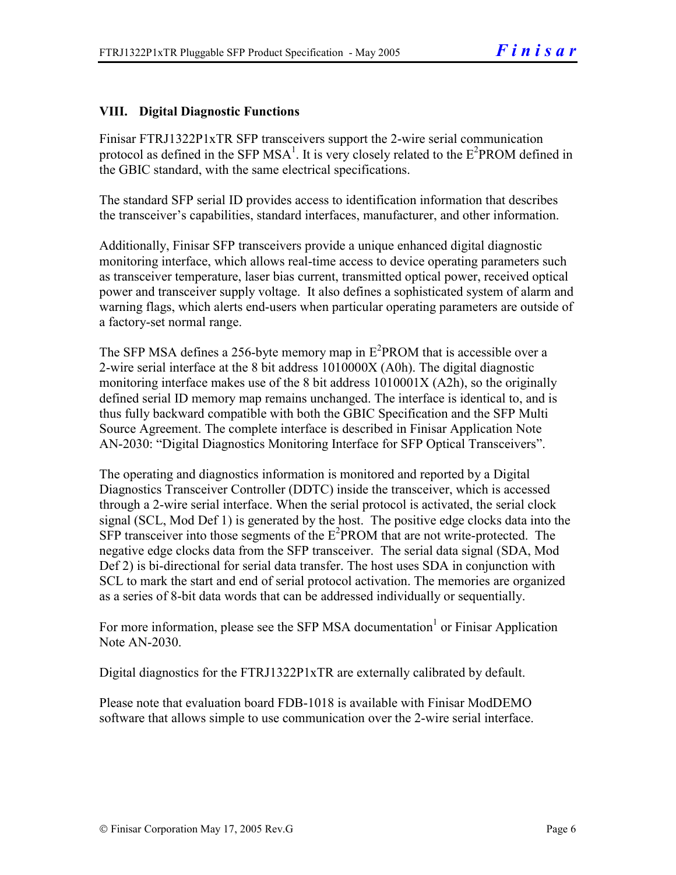# **VIII. Digital Diagnostic Functions**

Finisar FTRJ1322P1xTR SFP transceivers support the 2-wire serial communication protocol as defined in the SFP MSA<sup>1</sup>. It is very closely related to the  $E^2$ PROM defined in the GBIC standard, with the same electrical specifications.

The standard SFP serial ID provides access to identification information that describes the transceiver's capabilities, standard interfaces, manufacturer, and other information.

Additionally, Finisar SFP transceivers provide a unique enhanced digital diagnostic monitoring interface, which allows real-time access to device operating parameters such as transceiver temperature, laser bias current, transmitted optical power, received optical power and transceiver supply voltage. It also defines a sophisticated system of alarm and warning flags, which alerts end-users when particular operating parameters are outside of a factory-set normal range.

The SFP MSA defines a 256-byte memory map in  $E^2$ PROM that is accessible over a 2-wire serial interface at the 8 bit address 1010000X (A0h). The digital diagnostic monitoring interface makes use of the 8 bit address 1010001X (A2h), so the originally defined serial ID memory map remains unchanged. The interface is identical to, and is thus fully backward compatible with both the GBIC Specification and the SFP Multi Source Agreement. The complete interface is described in Finisar Application Note AN-2030: "Digital Diagnostics Monitoring Interface for SFP Optical Transceivers".

The operating and diagnostics information is monitored and reported by a Digital Diagnostics Transceiver Controller (DDTC) inside the transceiver, which is accessed through a 2-wire serial interface. When the serial protocol is activated, the serial clock signal (SCL, Mod Def 1) is generated by the host. The positive edge clocks data into the  $SFP$  transceiver into those segments of the  $E^2$ PROM that are not write-protected. The negative edge clocks data from the SFP transceiver. The serial data signal (SDA, Mod Def 2) is bi-directional for serial data transfer. The host uses SDA in conjunction with SCL to mark the start and end of serial protocol activation. The memories are organized as a series of 8-bit data words that can be addressed individually or sequentially.

For more information, please see the SFP MSA documentation<sup>1</sup> or Finisar Application Note AN-2030.

Digital diagnostics for the FTRJ1322P1xTR are externally calibrated by default.

Please note that evaluation board FDB-1018 is available with Finisar ModDEMO software that allows simple to use communication over the 2-wire serial interface.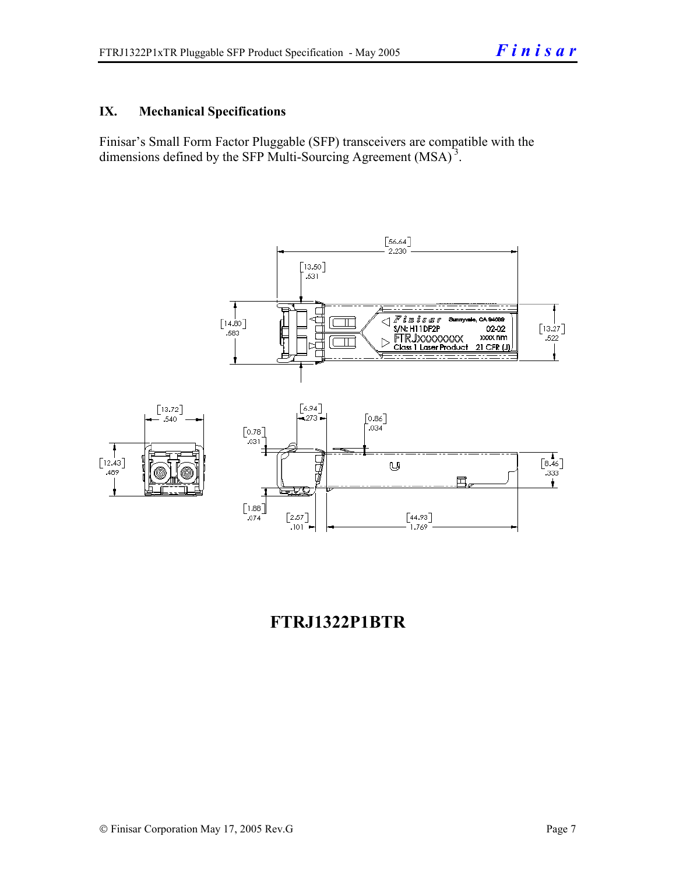# **IX. Mechanical Specifications**

Finisar's Small Form Factor Pluggable (SFP) transceivers are compatible with the dimensions defined by the SFP Multi-Sourcing Agreement (MSA)<sup>3</sup>.



# **FTRJ1322P1BTR**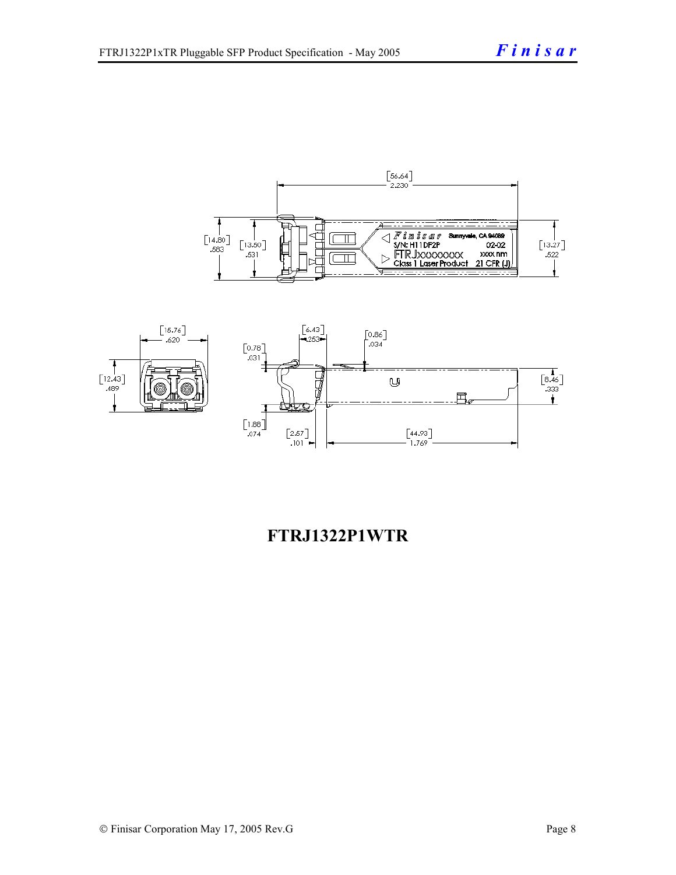



# **FTRJ1322P1WTR**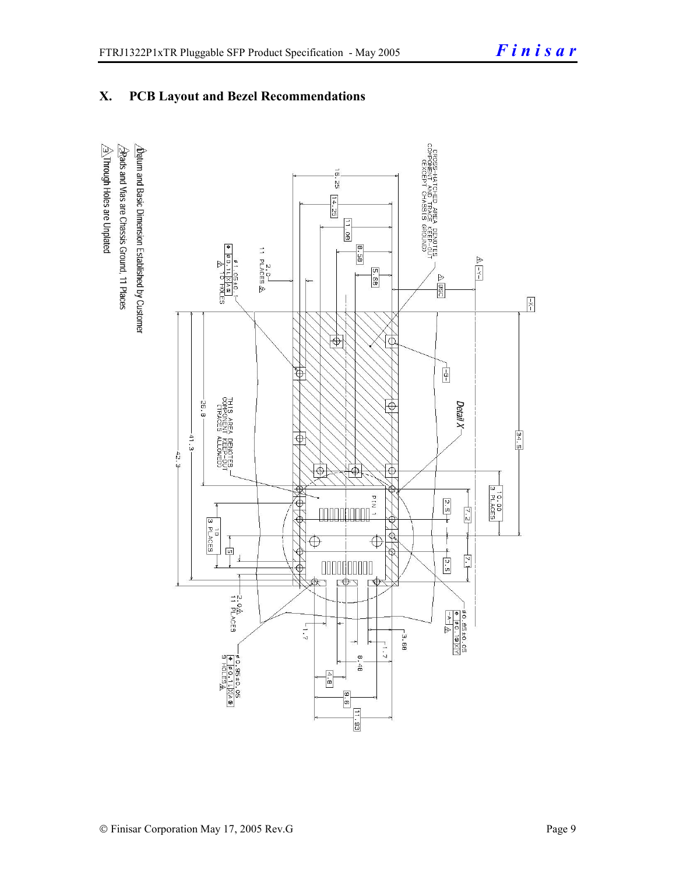# **X. PCB Layout and Bezel Recommendations**

 $\hat{\triangle}$ Through Holes are Unplated  $\Delta$ atum and Basic Dimension Established by Customer  $\triangle$ Rads and Vias are Chassis Ground, 11 Places

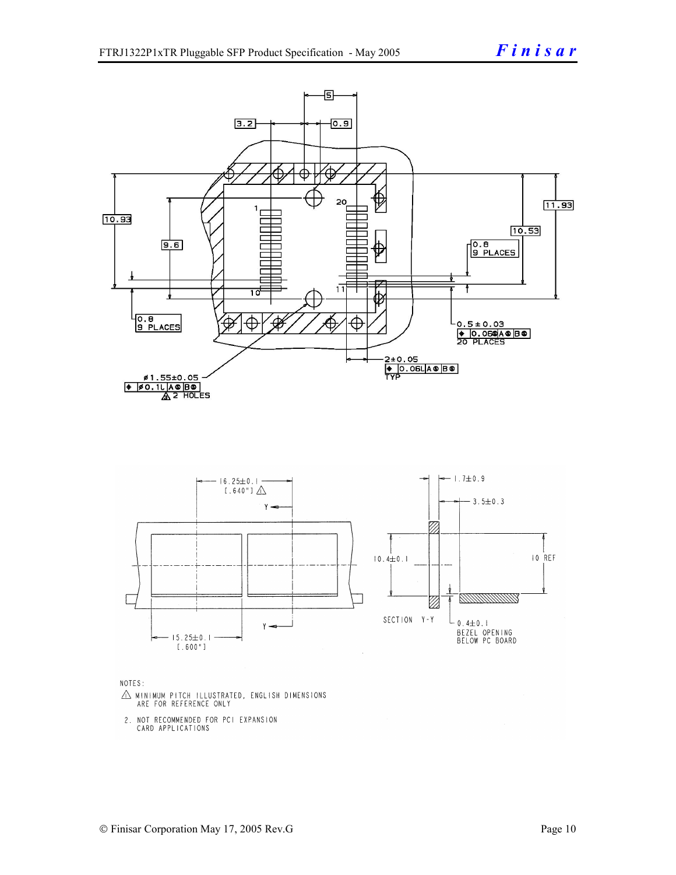

NOTES:

- $\triangle$  MINIMUM PITCH ILLUSTRATED, ENGLISH DIMENSIONS ARE FOR REFERENCE ONLY
- 2. NOT RECOMMENDED FOR PCI EXPANSION CARD APPLICATIONS